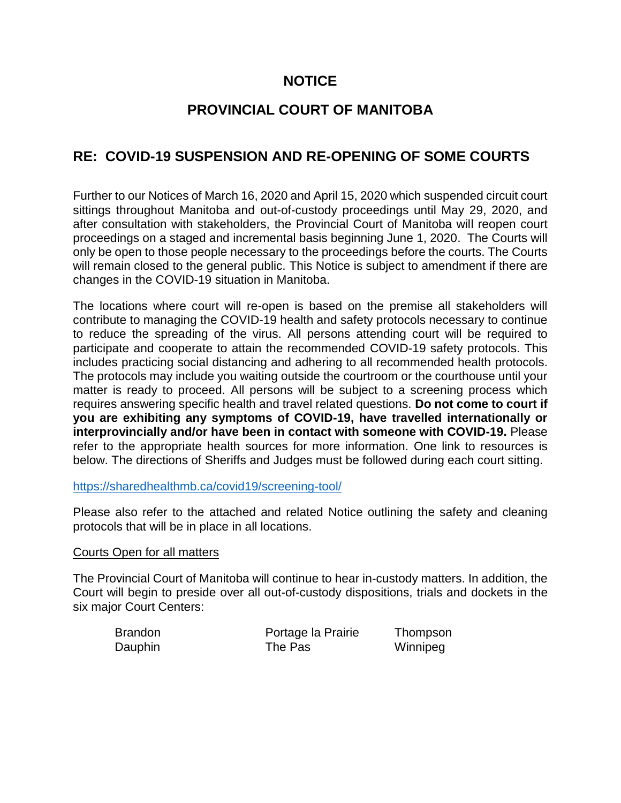## **NOTICE**

## **PROVINCIAL COURT OF MANITOBA**

## **RE: COVID-19 SUSPENSION AND RE-OPENING OF SOME COURTS**

Further to our Notices of March 16, 2020 and April 15, 2020 which suspended circuit court sittings throughout Manitoba and out-of-custody proceedings until May 29, 2020, and after consultation with stakeholders, the Provincial Court of Manitoba will reopen court proceedings on a staged and incremental basis beginning June 1, 2020. The Courts will only be open to those people necessary to the proceedings before the courts. The Courts will remain closed to the general public. This Notice is subject to amendment if there are changes in the COVID-19 situation in Manitoba.

The locations where court will re-open is based on the premise all stakeholders will contribute to managing the COVID-19 health and safety protocols necessary to continue to reduce the spreading of the virus. All persons attending court will be required to participate and cooperate to attain the recommended COVID-19 safety protocols. This includes practicing social distancing and adhering to all recommended health protocols. The protocols may include you waiting outside the courtroom or the courthouse until your matter is ready to proceed. All persons will be subject to a screening process which requires answering specific health and travel related questions. **Do not come to court if you are exhibiting any symptoms of COVID-19, have travelled internationally or interprovincially and/or have been in contact with someone with COVID-19.** Please refer to the appropriate health sources for more information. One link to resources is below. The directions of Sheriffs and Judges must be followed during each court sitting.

## <https://sharedhealthmb.ca/covid19/screening-tool/>

Please also refer to the attached and related Notice outlining the safety and cleaning protocols that will be in place in all locations.

## Courts Open for all matters

The Provincial Court of Manitoba will continue to hear in-custody matters. In addition, the Court will begin to preside over all out-of-custody dispositions, trials and dockets in the six major Court Centers:

| <b>Brandon</b> | Portage la Prairie | Thompson |
|----------------|--------------------|----------|
| Dauphin        | The Pas            | Winnipeg |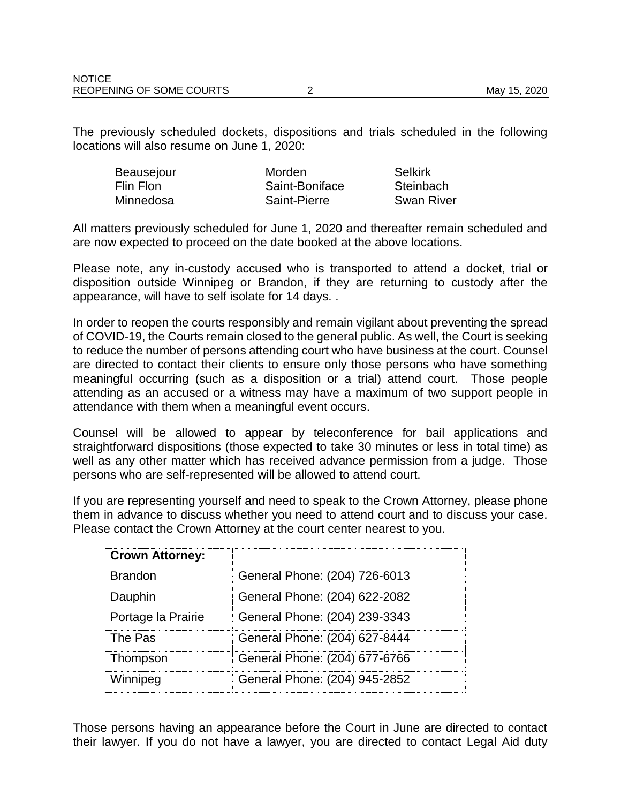The previously scheduled dockets, dispositions and trials scheduled in the following locations will also resume on June 1, 2020:

| Beausejour | Morden         | Selkirk           |
|------------|----------------|-------------------|
| Flin Flon  | Saint-Boniface | Steinbach         |
| Minnedosa  | Saint-Pierre   | <b>Swan River</b> |

All matters previously scheduled for June 1, 2020 and thereafter remain scheduled and are now expected to proceed on the date booked at the above locations.

Please note, any in-custody accused who is transported to attend a docket, trial or disposition outside Winnipeg or Brandon, if they are returning to custody after the appearance, will have to self isolate for 14 days. .

In order to reopen the courts responsibly and remain vigilant about preventing the spread of COVID-19, the Courts remain closed to the general public. As well, the Court is seeking to reduce the number of persons attending court who have business at the court. Counsel are directed to contact their clients to ensure only those persons who have something meaningful occurring (such as a disposition or a trial) attend court. Those people attending as an accused or a witness may have a maximum of two support people in attendance with them when a meaningful event occurs.

Counsel will be allowed to appear by teleconference for bail applications and straightforward dispositions (those expected to take 30 minutes or less in total time) as well as any other matter which has received advance permission from a judge. Those persons who are self-represented will be allowed to attend court.

If you are representing yourself and need to speak to the Crown Attorney, please phone them in advance to discuss whether you need to attend court and to discuss your case. Please contact the Crown Attorney at the court center nearest to you.

| <b>Crown Attorney:</b> |                               |
|------------------------|-------------------------------|
| <b>Brandon</b>         | General Phone: (204) 726-6013 |
| Dauphin                | General Phone: (204) 622-2082 |
| Portage la Prairie     | General Phone: (204) 239-3343 |
| The Pas                | General Phone: (204) 627-8444 |
| Thompson               | General Phone: (204) 677-6766 |
| Winnipeg               | General Phone: (204) 945-2852 |

Those persons having an appearance before the Court in June are directed to contact their lawyer. If you do not have a lawyer, you are directed to contact Legal Aid duty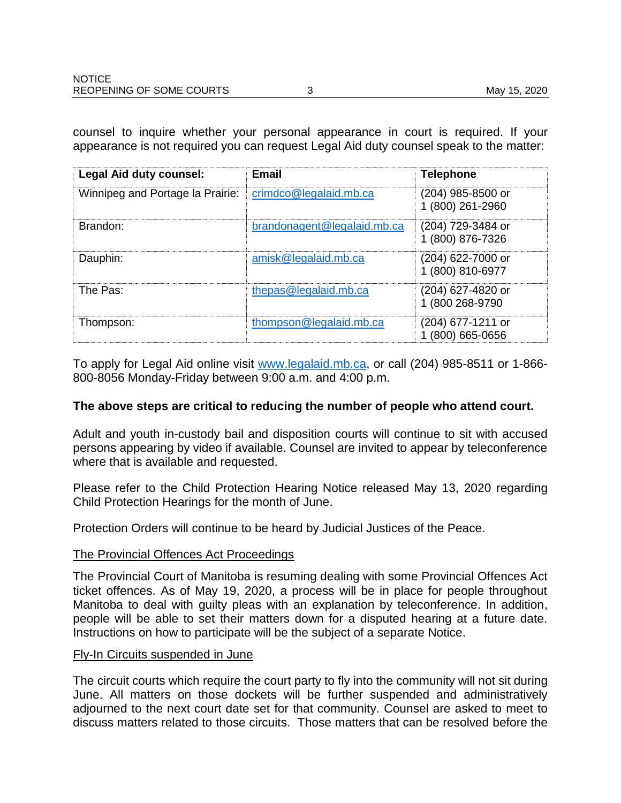counsel to inquire whether your personal appearance in court is required. If your appearance is not required you can request Legal Aid duty counsel speak to the matter:

| <b>Legal Aid duty counsel:</b>   | Email                       | <b>Telephone</b>                      |
|----------------------------------|-----------------------------|---------------------------------------|
| Winnipeg and Portage la Prairie: | crimdco@legalaid.mb.ca      | (204) 985-8500 or<br>1 (800) 261-2960 |
| Brandon:                         | brandonagent@legalaid.mb.ca | (204) 729-3484 or<br>1 (800) 876-7326 |
| Dauphin:                         | amisk@legalaid.mb.ca        | (204) 622-7000 or<br>1 (800) 810-6977 |
| The Pas:                         | thepas@legalaid.mb.ca       | (204) 627-4820 or<br>1 (800 268-9790  |
| Thompson:                        | thompson@legalaid.mb.ca     | (204) 677-1211 or<br>(800) 665-0656   |

To apply for Legal Aid online visit [www.legalaid.mb.ca,](http://www.legalaid.mb.ca/) or call (204) 985-8511 or 1-866- 800-8056 Monday-Friday between 9:00 a.m. and 4:00 p.m.

## **The above steps are critical to reducing the number of people who attend court.**

Adult and youth in-custody bail and disposition courts will continue to sit with accused persons appearing by video if available. Counsel are invited to appear by teleconference where that is available and requested.

Please refer to the Child Protection Hearing Notice released May 13, 2020 regarding Child Protection Hearings for the month of June.

Protection Orders will continue to be heard by Judicial Justices of the Peace.

## The Provincial Offences Act Proceedings

The Provincial Court of Manitoba is resuming dealing with some Provincial Offences Act ticket offences. As of May 19, 2020, a process will be in place for people throughout Manitoba to deal with guilty pleas with an explanation by teleconference. In addition, people will be able to set their matters down for a disputed hearing at a future date. Instructions on how to participate will be the subject of a separate Notice.

#### Fly-In Circuits suspended in June

The circuit courts which require the court party to fly into the community will not sit during June. All matters on those dockets will be further suspended and administratively adjourned to the next court date set for that community. Counsel are asked to meet to discuss matters related to those circuits. Those matters that can be resolved before the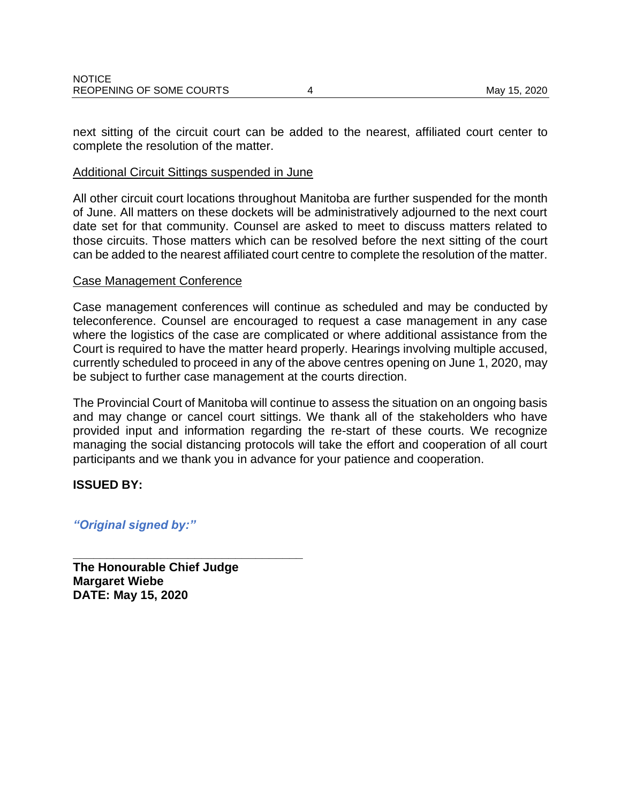next sitting of the circuit court can be added to the nearest, affiliated court center to complete the resolution of the matter.

### Additional Circuit Sittings suspended in June

All other circuit court locations throughout Manitoba are further suspended for the month of June. All matters on these dockets will be administratively adjourned to the next court date set for that community. Counsel are asked to meet to discuss matters related to those circuits. Those matters which can be resolved before the next sitting of the court can be added to the nearest affiliated court centre to complete the resolution of the matter.

#### Case Management Conference

Case management conferences will continue as scheduled and may be conducted by teleconference. Counsel are encouraged to request a case management in any case where the logistics of the case are complicated or where additional assistance from the Court is required to have the matter heard properly. Hearings involving multiple accused, currently scheduled to proceed in any of the above centres opening on June 1, 2020, may be subject to further case management at the courts direction.

The Provincial Court of Manitoba will continue to assess the situation on an ongoing basis and may change or cancel court sittings. We thank all of the stakeholders who have provided input and information regarding the re-start of these courts. We recognize managing the social distancing protocols will take the effort and cooperation of all court participants and we thank you in advance for your patience and cooperation.

## **ISSUED BY:**

*"Original signed by:"*

**The Honourable Chief Judge Margaret Wiebe DATE: May 15, 2020**

**\_\_\_\_\_\_\_\_\_\_\_\_\_\_\_\_\_\_\_\_\_\_\_\_\_\_\_\_\_\_\_\_\_\_**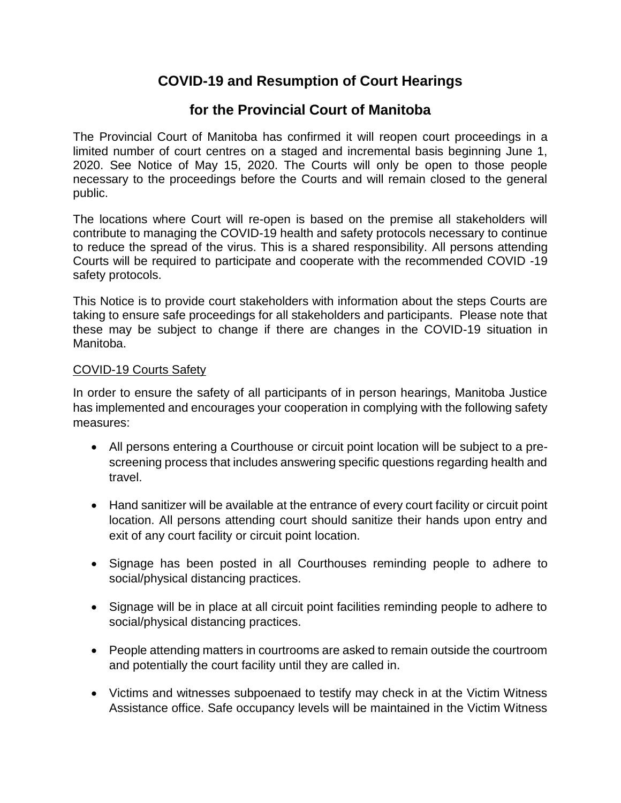# **COVID-19 and Resumption of Court Hearings**

## **for the Provincial Court of Manitoba**

The Provincial Court of Manitoba has confirmed it will reopen court proceedings in a limited number of court centres on a staged and incremental basis beginning June 1, 2020. See Notice of May 15, 2020. The Courts will only be open to those people necessary to the proceedings before the Courts and will remain closed to the general public.

The locations where Court will re-open is based on the premise all stakeholders will contribute to managing the COVID-19 health and safety protocols necessary to continue to reduce the spread of the virus. This is a shared responsibility. All persons attending Courts will be required to participate and cooperate with the recommended COVID -19 safety protocols.

This Notice is to provide court stakeholders with information about the steps Courts are taking to ensure safe proceedings for all stakeholders and participants. Please note that these may be subject to change if there are changes in the COVID-19 situation in Manitoba.

## COVID-19 Courts Safety

In order to ensure the safety of all participants of in person hearings, Manitoba Justice has implemented and encourages your cooperation in complying with the following safety measures:

- All persons entering a Courthouse or circuit point location will be subject to a prescreening process that includes answering specific questions regarding health and travel.
- Hand sanitizer will be available at the entrance of every court facility or circuit point location. All persons attending court should sanitize their hands upon entry and exit of any court facility or circuit point location.
- Signage has been posted in all Courthouses reminding people to adhere to social/physical distancing practices.
- Signage will be in place at all circuit point facilities reminding people to adhere to social/physical distancing practices.
- People attending matters in courtrooms are asked to remain outside the courtroom and potentially the court facility until they are called in.
- Victims and witnesses subpoenaed to testify may check in at the Victim Witness Assistance office. Safe occupancy levels will be maintained in the Victim Witness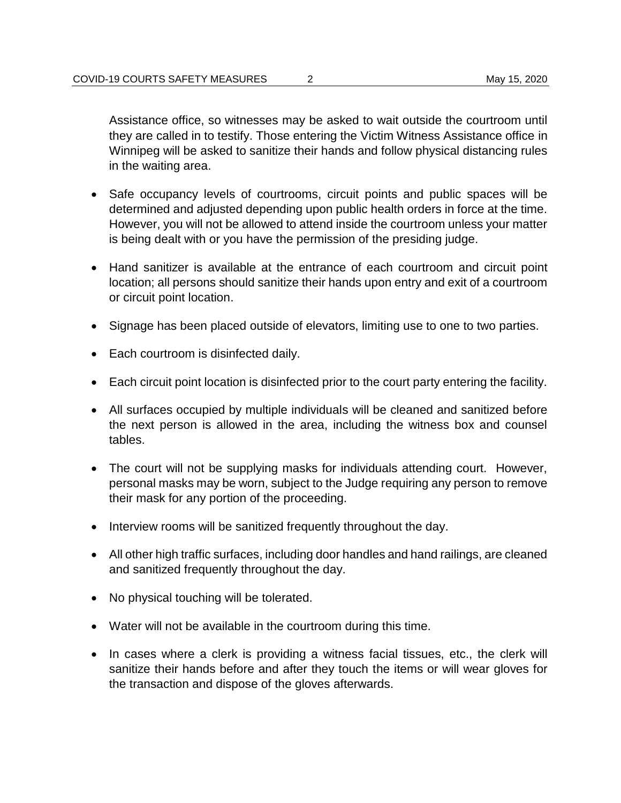Assistance office, so witnesses may be asked to wait outside the courtroom until they are called in to testify. Those entering the Victim Witness Assistance office in Winnipeg will be asked to sanitize their hands and follow physical distancing rules in the waiting area.

- Safe occupancy levels of courtrooms, circuit points and public spaces will be determined and adjusted depending upon public health orders in force at the time. However, you will not be allowed to attend inside the courtroom unless your matter is being dealt with or you have the permission of the presiding judge.
- Hand sanitizer is available at the entrance of each courtroom and circuit point location; all persons should sanitize their hands upon entry and exit of a courtroom or circuit point location.
- Signage has been placed outside of elevators, limiting use to one to two parties.
- Each courtroom is disinfected daily.
- Each circuit point location is disinfected prior to the court party entering the facility.
- All surfaces occupied by multiple individuals will be cleaned and sanitized before the next person is allowed in the area, including the witness box and counsel tables.
- The court will not be supplying masks for individuals attending court. However, personal masks may be worn, subject to the Judge requiring any person to remove their mask for any portion of the proceeding.
- Interview rooms will be sanitized frequently throughout the day.
- All other high traffic surfaces, including door handles and hand railings, are cleaned and sanitized frequently throughout the day.
- No physical touching will be tolerated.
- Water will not be available in the courtroom during this time.
- In cases where a clerk is providing a witness facial tissues, etc., the clerk will sanitize their hands before and after they touch the items or will wear gloves for the transaction and dispose of the gloves afterwards.